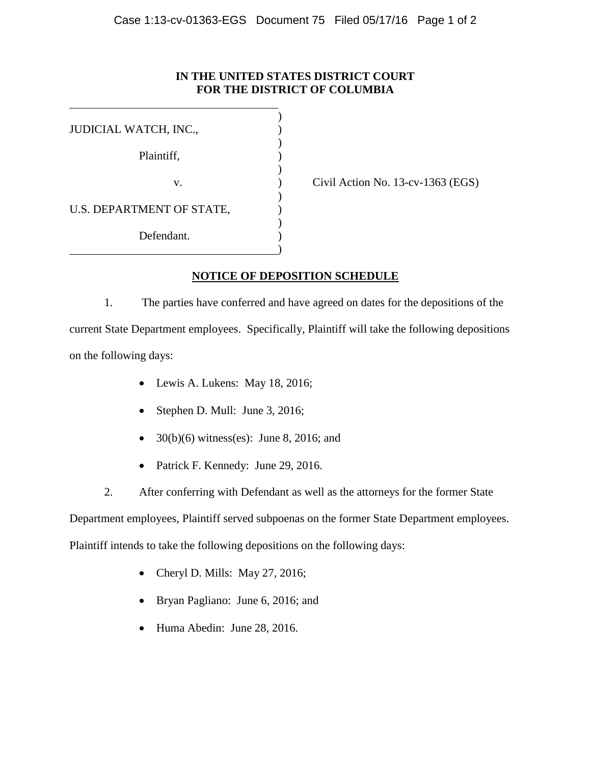## **IN THE UNITED STATES DISTRICT COURT FOR THE DISTRICT OF COLUMBIA**

| JUDICIAL WATCH, INC.,     |  |
|---------------------------|--|
| Plaintiff,                |  |
|                           |  |
| v.                        |  |
| U.S. DEPARTMENT OF STATE, |  |
| Defendant.                |  |
|                           |  |

Civil Action No.  $13$ -cv-1363 (EGS)

## **NOTICE OF DEPOSITION SCHEDULE**

1. The parties have conferred and have agreed on dates for the depositions of the current State Department employees. Specifically, Plaintiff will take the following depositions on the following days:

- Lewis A. Lukens: May 18, 2016;
- Stephen D. Mull: June 3, 2016;
- $30(b)(6)$  witness(es): June 8, 2016; and
- Patrick F. Kennedy: June 29, 2016.
- 2. After conferring with Defendant as well as the attorneys for the former State

Department employees, Plaintiff served subpoenas on the former State Department employees.

Plaintiff intends to take the following depositions on the following days:

- Cheryl D. Mills: May 27, 2016;
- Bryan Pagliano: June 6, 2016; and
- Huma Abedin: June 28, 2016.